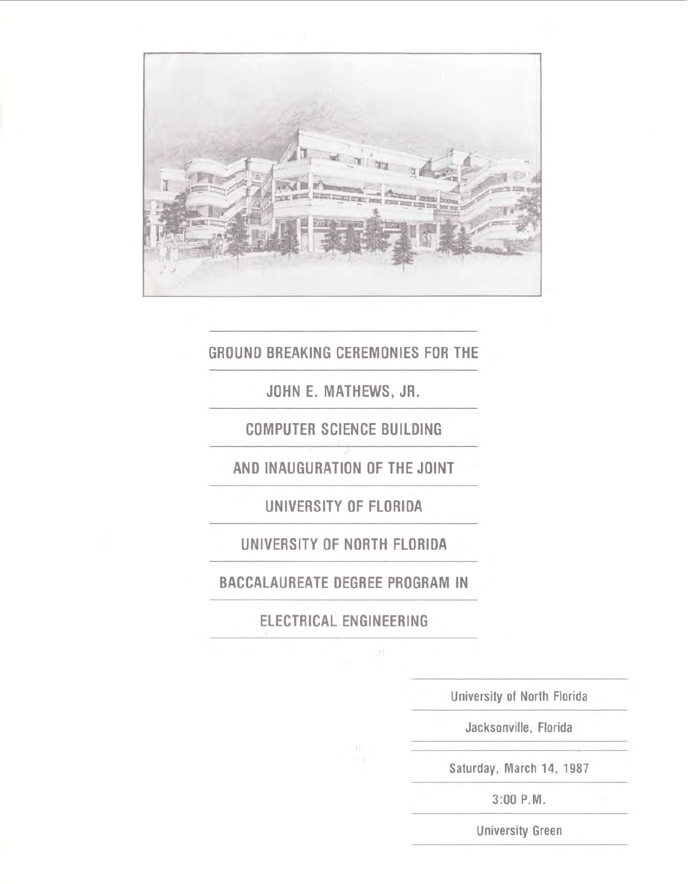

## GROUND BREAKING CEREMONIES FOR THE

JOHN E. MATHEWS, JR.

COMPUTER SCIENCE BUILDING

AND INAUGURATION OF THE JOINT

UNIVERSITY OF FLORIDA

UNIVERSITY OF NORTH FLORIDA

BACCALAUREATE DEGREE PROGRAM IN

ELECTRICAL ENGINEERING

 $\pm L$ 

University of North Florida

Jacksonville, Florida

Saturday, March 14, 1987

3:00 P.M.

University Green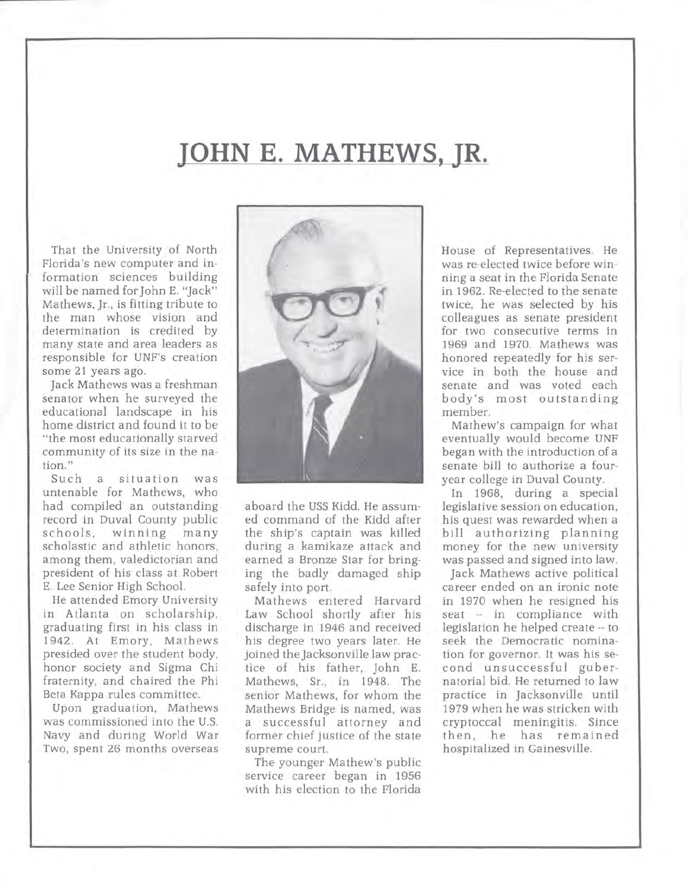# **JOHN E. MATHEWS, JR.**

That the University of North Florida's new computer and information sciences building will be named for John E. "Jack" Mathews, Jr., is fitting tribute to the man whose vision and determination is credited by many state and area leaders as responsible for UNF's creation some 21 years ago.

Jack Mathews was a freshman senator when he surveyed the educational landscape in his home district and found it to be "the most educationally starved community of its size in the nation."

Such a situation was untenable for Mathews, who had compiled an outstanding record in Duval County public schools, winning many scholastic and athletic honors. among them, valedictorian and president of his class at Robert E. Lee Senior High School.

He attended Emory University in Atlanta on scholarship, graduating first in his class in 1942. At Emory, Mathews presided over the student body, honor society and Sigma Chi fraternity, and chaired the Phi Beta Kappa rules committee.

Upon graduation, Mathews was commissioned into the U.S. Navy and during World War Two, spent 26 months overseas



aboard the USS Kidd. He assumed command of the Kidd after the ship's captain was killed during a kamikaze attack and earned a Bronze Star for bringing the badly damaged ship safely into port.

Mathews entered Harvard Law School shortly after his discharge in 1946 and received his degree two years later. He joined the Jacksonville law practice of his father, John E. Mathews, Sr., in 1948. The senior Mathews, for whom the Mathews Bridge is named, was a successful attorney and former chief justice of the state supreme court.

The younger Mathew's public service career began in 1956 with his election to the Florida

House of Representatives. He was re-elected twice before winning a seat in the Florida Senate in 1962. Re-elected to the senate twice, he was selected by his colleagues as senate president for two consecutive terms in 1969 and 1970. Mathews was honored repeatedly for his service in both the house and senate and was voted each body's most outstanding member.

Mathew's campaign for what eventually would become UNF began with the introduction of a senate bill to authorize a fouryear college in Duval County.

In 1968, during a special legislative session on education, his quest was rewarded when a bill authorizing planning money for the new university was passed and signed into law.

Jack Mathews active political career ended on an ironic note in 1970 when he resigned his seat -- in compliance with legislation he helped create -- to seek the Democratic nomination for governor. It was his second unsuccessful gubernatorial bid. He returned to law practice in Jacksonville until 1979 when he was stricken with cryptoccal meningitis. Since then, he has remained hospitalized in Gainesville.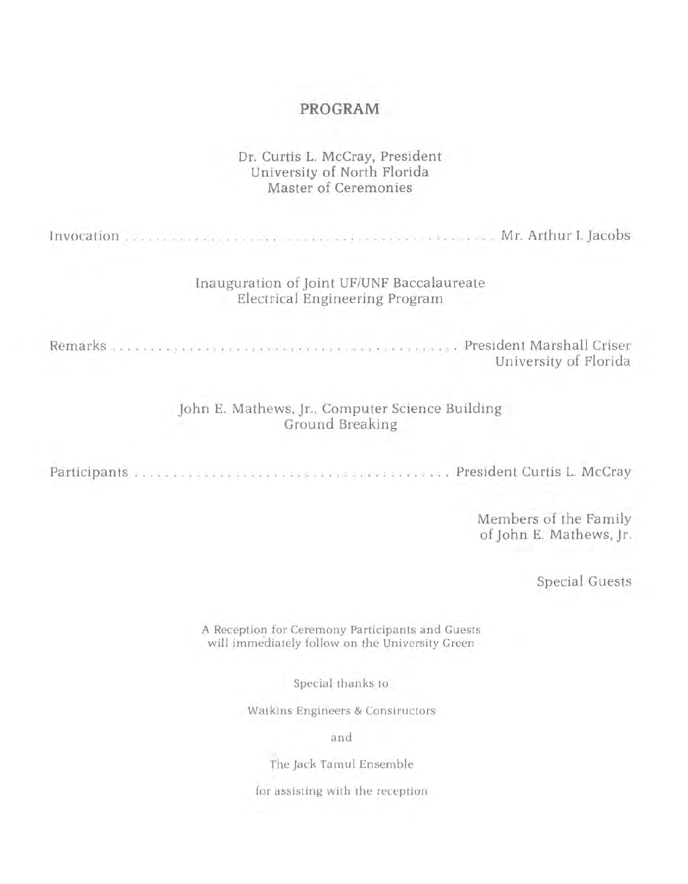### **PROGRAM**

#### Dr. Curtis L. McCray, President University of North Florida Master of Ceremonies

Invocation ................................................ Mr. Arthur I. Jacobs

#### Inauguration of Joint UF/UNF Baccalaureate Electrical Engineering Program

Remarks ............................................. President Marshall Criser

University of Florida

John E. Mathews, Jr., Computer Science Building Ground Breaking

Participants ......................................... President Curtis L. McCray

Members of the Family of John E. Mathews, Jr.

Special Guests

A Reception for Ceremony Participants and Guests will immediately follow on the University Green

Special thanks to

Watkins Engineers & Constructors

and

The Jack Tamul Ensemble

for assisting with the reception